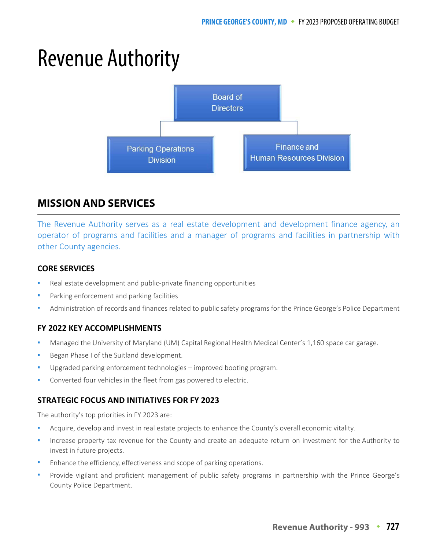# Revenue Authority



## **MISSION AND SERVICES**

The Revenue Authority serves as a real estate development and development finance agency, an operator of programs and facilities and a manager of programs and facilities in partnership with other County agencies.

## **CORE SERVICES**

- Real estate development and public-private financing opportunities
- Parking enforcement and parking facilities
- Administration of records and finances related to public safety programs for the Prince George's Police Department

## **FY 2022 KEY ACCOMPLISHMENTS**

- Managed the University of Maryland (UM) Capital Regional Health Medical Center's 1,160 space car garage.
- Began Phase I of the Suitland development.
- Upgraded parking enforcement technologies improved booting program.
- Converted four vehicles in the fleet from gas powered to electric.

## **STRATEGIC FOCUS AND INITIATIVES FOR FY 2023**

The authority's top priorities in FY 2023 are:

- Acquire, develop and invest in real estate projects to enhance the County's overall economic vitality.
- Increase property tax revenue for the County and create an adequate return on investment for the Authority to invest in future projects.
- Enhance the efficiency, effectiveness and scope of parking operations.
- Provide vigilant and proficient management of public safety programs in partnership with the Prince George's County Police Department.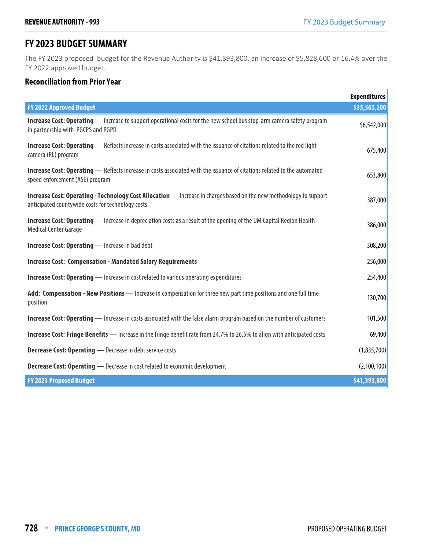## **FY 2023 BUDGET SUMMARY**

The FY 2023 proposed budget for the Revenue Authority is \$41,393,800, an increase of \$5,828,600 or 16.4% over the FY 2022 approved budget.

## **Reconciliation from Prior Year**

|                                                                                                                                                                          | <b>Expenditures</b> |
|--------------------------------------------------------------------------------------------------------------------------------------------------------------------------|---------------------|
| <b>FY 2022 Approved Budget</b>                                                                                                                                           | \$35,565,200        |
| Increase Cost: Operating - Increase to support operational costs for the new school bus stop-arm camera safety program<br>in partnership with PGCPS and PGPD             | \$6,542,000         |
| <b>Increase Cost: Operating</b> — Reflects increase in costs associated with the issuance of citations related to the red light<br>camera (RL) program                   | 675,400             |
| <b>Increase Cost: Operating</b> - Reflects increase in costs associated with the issuance of citations related to the automated<br>speed enforcement (ASE) program       | 653,800             |
| Increase Cost: Operating - Technology Cost Allocation - Increase in charges based on the new methodology to support<br>anticipated countywide costs for technology costs | 387,000             |
| <b>Increase Cost: Operating</b> — Increase in depreciation costs as a result of the opening of the UM Capital Region Health<br><b>Medical Center Garage</b>              | 386,000             |
| <b>Increase Cost: Operating - Increase in bad debt</b>                                                                                                                   | 308,200             |
| <b>Increase Cost: Compensation - Mandated Salary Requirements</b>                                                                                                        | 256,000             |
| <b>Increase Cost: Operating</b> - Increase in cost related to various operating expenditures                                                                             | 254,400             |
| Add: Compensation - New Positions - Increase in compensation for three new part time positions and one full time<br>position                                             | 130,700             |
| <b>Increase Cost: Operating</b> — Increase in costs associated with the false alarm program based on the number of customers                                             | 101,500             |
| Increase Cost: Fringe Benefits - Increase in the fringe benefit rate from 24.7% to 26.5% to align with anticipated costs                                                 | 69,400              |
| <b>Decrease Cost: Operating</b> - Decrease in debt service costs                                                                                                         | (1,835,700)         |
| <b>Decrease Cost: Operating</b> - Decrease in cost related to economic development                                                                                       | (2, 100, 100)       |
| <b>FY 2023 Proposed Budget</b>                                                                                                                                           | \$41,393,800        |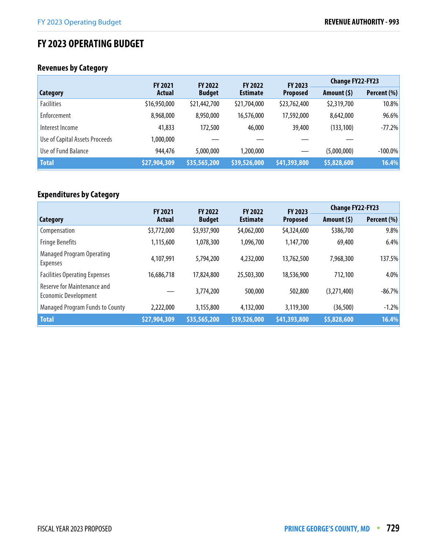## **FY 2023 OPERATING BUDGET**

## **Revenues by Category**

|                                | <b>FY 2021</b>                 |              | <b>FY 2022</b><br><b>FY 2022</b> |                            | <b>Change FY22-FY23</b> |             |
|--------------------------------|--------------------------------|--------------|----------------------------------|----------------------------|-------------------------|-------------|
| Category                       | <b>Actual</b><br><b>Budget</b> |              | <b>Estimate</b>                  | FY 2023<br><b>Proposed</b> | Amount $(5)$            | Percent (%) |
| <b>Facilities</b>              | \$16,950,000                   | \$21,442,700 | \$21,704,000                     | \$23,762,400               | \$2,319,700             | 10.8%       |
| Enforcement                    | 8,968,000                      | 8,950,000    | 16,576,000                       | 17,592,000                 | 8,642,000               | 96.6%       |
| Interest Income                | 41,833                         | 172,500      | 46,000                           | 39,400                     | (133, 100)              | $-77.2%$    |
| Use of Capital Assets Proceeds | 1,000,000                      |              |                                  |                            |                         |             |
| Use of Fund Balance            | 944,476                        | 5,000,000    | 1,200,000                        |                            | (5,000,000)             | $-100.0\%$  |
| <b>Total</b>                   | \$27,904,309                   | \$35,565,200 | \$39,526,000                     | \$41,393,800               | \$5,828,600             | 16.4%       |

## **Expenditures by Category**

|                                                            | <b>FY 2021</b> | <b>FY 2022</b> | <b>FY 2022</b>  | <b>FY 2023</b>  | <b>Change FY22-FY23</b> |             |
|------------------------------------------------------------|----------------|----------------|-----------------|-----------------|-------------------------|-------------|
| Category                                                   | Actual         | <b>Budget</b>  | <b>Estimate</b> | <b>Proposed</b> | Amount $(5)$            | Percent (%) |
| Compensation                                               | \$3,772,000    | \$3,937,900    | \$4,062,000     | \$4,324,600     | \$386,700               | 9.8%        |
| <b>Fringe Benefits</b>                                     | 1,115,600      | 1,078,300      | 1,096,700       | 1,147,700       | 69,400                  | 6.4%        |
| <b>Managed Program Operating</b><br><b>Expenses</b>        | 4,107,991      | 5,794,200      | 4,232,000       | 13,762,500      | 7,968,300               | 137.5%      |
| <b>Facilities Operating Expenses</b>                       | 16,686,718     | 17,824,800     | 25,503,300      | 18,536,900      | 712,100                 | 4.0%        |
| Reserve for Maintenance and<br><b>Economic Development</b> |                | 3,774,200      | 500,000         | 502,800         | (3,271,400)             | $-86.7%$    |
| <b>Managed Program Funds to County</b>                     | 2,222,000      | 3,155,800      | 4,132,000       | 3,119,300       | (36,500)                | $-1.2%$     |
| <b>Total</b>                                               | \$27,904,309   | \$35,565,200   | \$39,526,000    | \$41,393,800    | \$5,828,600             | 16.4%       |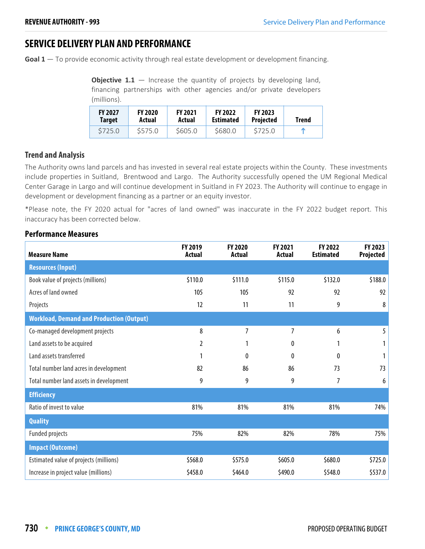## **SERVICE DELIVERY PLAN AND PERFORMANCE**

**Goal 1** — To provide economic activity through real estate development or development financing.

**Objective 1.1** – Increase the quantity of projects by developing land, financing partnerships with other agencies and/or private developers (millions).

| <b>FY 2027</b><br>Target | <b>FY 2020</b><br>Actual | <b>FY 2021</b><br>Actual | <b>FY 2022</b><br><b>Estimated</b> | <b>FY 2023</b><br><b>Projected</b> | Trend      |
|--------------------------|--------------------------|--------------------------|------------------------------------|------------------------------------|------------|
| \$725.0                  | \$575.0                  | \$605.0                  | \$680.0                            | \$725.0                            | $\sqrt{2}$ |

## **Trend and Analysis**

The Authority owns land parcels and has invested in several real estate projects within the County. These investments include properties in Suitland, Brentwood and Largo. The Authority successfully opened the UM Regional Medical Center Garage in Largo and will continue development in Suitland in FY 2023. The Authority will continue to engage in development or development financing as a partner or an equity investor.

\*Please note, the FY 2020 actual for "acres of land owned" was inaccurate in the FY 2022 budget report. This inaccuracy has been corrected below.

| <b>Measure Name</b>                             | FY 2019<br>Actual | FY 2020<br>Actual | FY 2021<br>Actual | FY 2022<br><b>Estimated</b> | FY 2023<br>Projected |
|-------------------------------------------------|-------------------|-------------------|-------------------|-----------------------------|----------------------|
| <b>Resources (Input)</b>                        |                   |                   |                   |                             |                      |
| Book value of projects (millions)               | \$110.0           | \$111.0           | \$115.0           | \$132.0                     | \$188.0              |
| Acres of land owned                             | 105               | 105               | 92                | 92                          | 92                   |
| Projects                                        | 12                | 11                | 11                | 9                           | 8                    |
| <b>Workload, Demand and Production (Output)</b> |                   |                   |                   |                             |                      |
| Co-managed development projects                 | 8                 | 7                 | $\overline{7}$    | 6                           | 5                    |
| Land assets to be acquired                      | 2                 |                   | 0                 |                             |                      |
| Land assets transferred                         |                   | $\mathbf{0}$      | 0                 | 0                           |                      |
| Total number land acres in development          | 82                | 86                | 86                | 73                          | 73                   |
| Total number land assets in development         | 9                 | 9                 | 9                 | 7                           | 6                    |
| <b>Efficiency</b>                               |                   |                   |                   |                             |                      |
| Ratio of invest to value                        | 81%               | 81%               | 81%               | 81%                         | 74%                  |
| <b>Quality</b>                                  |                   |                   |                   |                             |                      |
| <b>Funded projects</b>                          | 75%               | 82%               | 82%               | 78%                         | 75%                  |
| <b>Impact (Outcome)</b>                         |                   |                   |                   |                             |                      |
| Estimated value of projects (millions)          | \$568.0           | \$575.0           | \$605.0           | \$680.0                     | \$725.0              |
| Increase in project value (millions)            | \$458.0           | \$464.0           | \$490.0           | \$548.0                     | \$537.0              |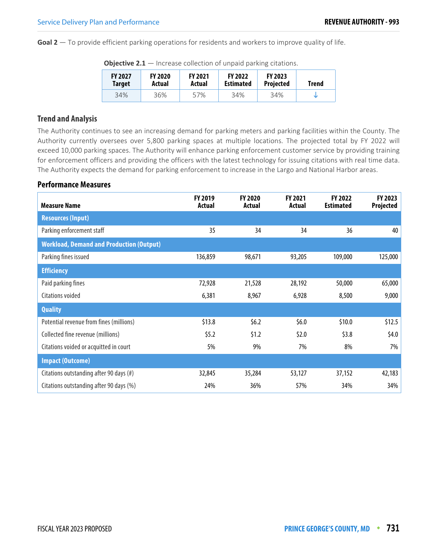**Goal 2** — To provide efficient parking operations for residents and workers to improve quality of life.

| <b>FY 2027</b><br><b>Target</b> | <b>FY 2020</b><br>Actual | <b>FY 2021</b><br>Actual | <b>FY 2022</b><br><b>Estimated</b> | FY 2023<br><b>Projected</b> | Trend |
|---------------------------------|--------------------------|--------------------------|------------------------------------|-----------------------------|-------|
| 34%                             | 36%                      | 57%                      | 34%                                | 34%                         |       |

**Objective 2.1** — Increase collection of unpaid parking citations.

### **Trend and Analysis**

The Authority continues to see an increasing demand for parking meters and parking facilities within the County. The Authority currently oversees over 5,800 parking spaces at multiple locations. The projected total by FY 2022 will exceed 10,000 parking spaces. The Authority will enhance parking enforcement customer service by providing training for enforcement officers and providing the officers with the latest technology for issuing citations with real time data. The Authority expects the demand for parking enforcement to increase in the Largo and National Harbor areas.

| <b>Measure Name</b>                             | FY 2019<br>Actual | FY 2020<br>Actual | <b>FY 2021</b><br>Actual | FY 2022<br><b>Estimated</b> | FY 2023<br>Projected |
|-------------------------------------------------|-------------------|-------------------|--------------------------|-----------------------------|----------------------|
| <b>Resources (Input)</b>                        |                   |                   |                          |                             |                      |
| Parking enforcement staff                       | 35                | 34                | 34                       | 36                          | 40                   |
| <b>Workload, Demand and Production (Output)</b> |                   |                   |                          |                             |                      |
| Parking fines issued                            | 136,859           | 98,671            | 93,205                   | 109,000                     | 125,000              |
| <b>Efficiency</b>                               |                   |                   |                          |                             |                      |
| Paid parking fines                              | 72,928            | 21,528            | 28,192                   | 50,000                      | 65,000               |
| Citations voided                                | 6,381             | 8,967             | 6,928                    | 8,500                       | 9,000                |
| <b>Quality</b>                                  |                   |                   |                          |                             |                      |
| Potential revenue from fines (millions)         | \$13.8            | \$6.2\$           | \$6.0\$                  | \$10.0                      | \$12.5               |
| Collected fine revenue (millions)               | \$5.2\$           | \$1.2             | \$2.0                    | \$3.8                       | \$4.0                |
| Citations voided or acquitted in court          | 5%                | 9%                | 7%                       | 8%                          | 7%                   |
| <b>Impact (Outcome)</b>                         |                   |                   |                          |                             |                      |
| Citations outstanding after 90 days (#)         | 32,845            | 35,284            | 53,127                   | 37,152                      | 42,183               |
| Citations outstanding after 90 days (%)         | 24%               | 36%               | 57%                      | 34%                         | 34%                  |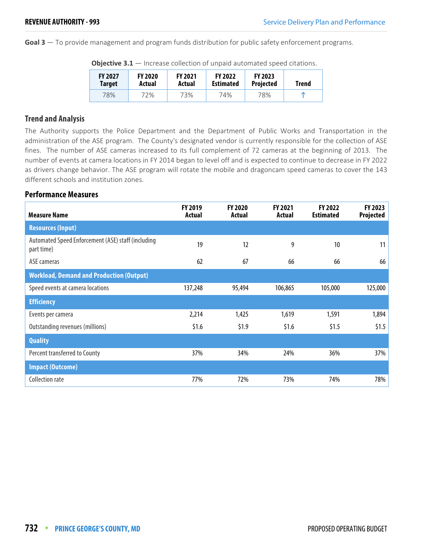**Goal 3** — To provide management and program funds distribution for public safety enforcement programs.

| <b>FY 2027</b><br><b>Target</b> | <b>FY 2020</b><br>Actual | <b>FY 2021</b><br>Actual | <b>FY 2022</b><br><b>Estimated</b> | <b>FY 2023</b><br><b>Projected</b> | Trend |  |  |
|---------------------------------|--------------------------|--------------------------|------------------------------------|------------------------------------|-------|--|--|
| 78%                             | 72%                      | 73%                      | 74%                                | 78%                                | m     |  |  |

**Objective 3.1** — Increase collection of unpaid automated speed citations.

### **Trend and Analysis**

The Authority supports the Police Department and the Department of Public Works and Transportation in the administration of the ASE program. The County's designated vendor is currently responsible for the collection of ASE fines. The number of ASE cameras increased to its full complement of 72 cameras at the beginning of 2013. The number of events at camera locations in FY 2014 began to level off and is expected to continue to decrease in FY 2022 as drivers change behavior. The ASE program will rotate the mobile and dragoncam speed cameras to cover the 143 different schools and institution zones.

| <b>Measure Name</b>                                              | <b>FY 2019</b><br><b>Actual</b> | FY 2020<br>Actual | FY 2021<br>Actual | <b>FY 2022</b><br><b>Estimated</b> | FY 2023<br>Projected |
|------------------------------------------------------------------|---------------------------------|-------------------|-------------------|------------------------------------|----------------------|
| <b>Resources (Input)</b>                                         |                                 |                   |                   |                                    |                      |
| Automated Speed Enforcement (ASE) staff (including<br>part time) | 19                              | 12                | 9                 | 10                                 | 11                   |
| ASE cameras                                                      | 62                              | 67                | 66                | 66                                 | 66                   |
| <b>Workload, Demand and Production (Output)</b>                  |                                 |                   |                   |                                    |                      |
| Speed events at camera locations                                 | 137,248                         | 95,494            | 106,865           | 105,000                            | 125,000              |
| <b>Efficiency</b>                                                |                                 |                   |                   |                                    |                      |
| Events per camera                                                | 2,214                           | 1,425             | 1,619             | 1,591                              | 1,894                |
| Outstanding revenues (millions)                                  | \$1.6                           | \$1.9             | \$1.6             | \$1.5                              | \$1.5                |
| <b>Quality</b>                                                   |                                 |                   |                   |                                    |                      |
| Percent transferred to County                                    | 37%                             | 34%               | 24%               | 36%                                | 37%                  |
| <b>Impact (Outcome)</b>                                          |                                 |                   |                   |                                    |                      |
| <b>Collection rate</b>                                           | 77%                             | 72%               | 73%               | 74%                                | 78%                  |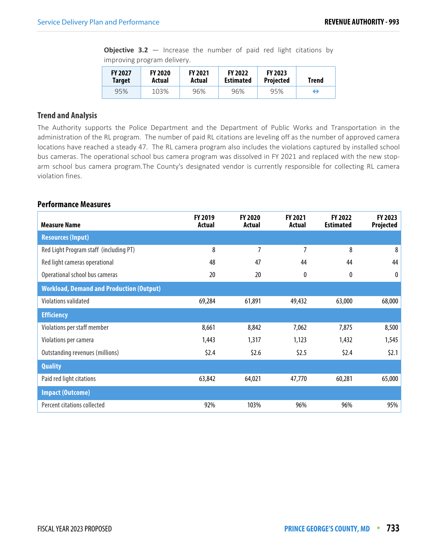**Objective 3.2** – Increase the number of paid red light citations by improving program delivery.

| <b>FY 2027</b> | <b>FY 2020</b> | <b>FY 2021</b> | <b>FY 2022</b>   | <b>FY 2023</b>   | Trend |
|----------------|----------------|----------------|------------------|------------------|-------|
| <b>Target</b>  | Actual         | Actual         | <b>Estimated</b> | <b>Projected</b> |       |
| 95%            | 103%           | 96%            | 96%              | 95%              | ⇔     |

#### **Trend and Analysis**

The Authority supports the Police Department and the Department of Public Works and Transportation in the administration of the RL program. The number of paid RL citations are leveling off as the number of approved camera locations have reached a steady 47. The RL camera program also includes the violations captured by installed school bus cameras. The operational school bus camera program was dissolved in FY 2021 and replaced with the new stoparm school bus camera program.The County's designated vendor is currently responsible for collecting RL camera violation fines.

| <b>Measure Name</b>                             | FY 2019<br>Actual | FY 2020<br>Actual | <b>FY 2021</b><br>Actual | FY 2022<br><b>Estimated</b> | FY 2023<br>Projected |
|-------------------------------------------------|-------------------|-------------------|--------------------------|-----------------------------|----------------------|
| <b>Resources (Input)</b>                        |                   |                   |                          |                             |                      |
| Red Light Program staff (including PT)          | 8                 | 7                 | 7                        | 8                           | 8                    |
| Red light cameras operational                   | 48                | 47                | 44                       | 44                          | 44                   |
| Operational school bus cameras                  | 20                | 20                | 0                        | 0                           | 0                    |
| <b>Workload, Demand and Production (Output)</b> |                   |                   |                          |                             |                      |
| Violations validated                            | 69,284            | 61,891            | 49,432                   | 63,000                      | 68,000               |
| <b>Efficiency</b>                               |                   |                   |                          |                             |                      |
| Violations per staff member                     | 8,661             | 8,842             | 7,062                    | 7,875                       | 8,500                |
| Violations per camera                           | 1,443             | 1,317             | 1,123                    | 1,432                       | 1,545                |
| Outstanding revenues (millions)                 | \$2.4\$           | \$2.6             | \$2.5                    | \$2.4\$                     | \$2.1                |
| <b>Quality</b>                                  |                   |                   |                          |                             |                      |
| Paid red light citations                        | 63,842            | 64,021            | 47,770                   | 60,281                      | 65,000               |
| <b>Impact (Outcome)</b>                         |                   |                   |                          |                             |                      |
| Percent citations collected                     | 92%               | 103%              | 96%                      | 96%                         | 95%                  |